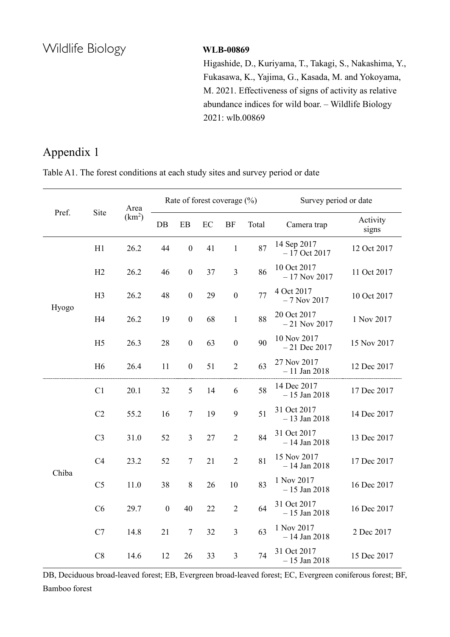Higashide, D., Kuriyama, T., Takagi, S., Nakashima, Y., Fukasawa, K., Yajima, G., Kasada, M. and Yokoyama, M. 2021. Effectiveness of signs of activity as relative abundance indices for wild boar. – Wildlife Biology 2021: wlb.00869

## Appendix 1

|  | Table A1. The forest conditions at each study sites and survey period or date |  |  |  |
|--|-------------------------------------------------------------------------------|--|--|--|

|       |                | Area<br>Site<br>(km <sup>2</sup> ) | Rate of forest coverage $(\%)$ |                  |          |                  |       | Survey period or date         |                   |  |
|-------|----------------|------------------------------------|--------------------------------|------------------|----------|------------------|-------|-------------------------------|-------------------|--|
| Pref. |                |                                    | $DB$                           | EB               | $\rm EC$ | <b>BF</b>        | Total | Camera trap                   | Activity<br>signs |  |
| Hyogo | H1             | 26.2                               | 44                             | $\boldsymbol{0}$ | 41       | $\,1$            | 87    | 14 Sep 2017<br>$-17$ Oct 2017 | 12 Oct 2017       |  |
|       | H2             | 26.2                               | 46                             | $\boldsymbol{0}$ | 37       | $\mathfrak{Z}$   | 86    | 10 Oct 2017<br>$-17$ Nov 2017 | 11 Oct 2017       |  |
|       | H <sub>3</sub> | 26.2                               | 48                             | $\boldsymbol{0}$ | 29       | $\boldsymbol{0}$ | 77    | 4 Oct 2017<br>$-7$ Nov 2017   | 10 Oct 2017       |  |
|       | H4             | 26.2                               | 19                             | $\boldsymbol{0}$ | 68       | $\mathbf{1}$     | 88    | 20 Oct 2017<br>$-21$ Nov 2017 | 1 Nov 2017        |  |
|       | H <sub>5</sub> | 26.3                               | 28                             | $\boldsymbol{0}$ | 63       | $\boldsymbol{0}$ | 90    | 10 Nov 2017<br>$-21$ Dec 2017 | 15 Nov 2017       |  |
|       | H <sub>6</sub> | 26.4                               | 11                             | $\boldsymbol{0}$ | 51       | $\overline{2}$   | 63    | 27 Nov 2017<br>$-11$ Jan 2018 | 12 Dec 2017       |  |
| Chiba | C1             | 20.1                               | 32                             | $\mathfrak{S}$   | 14       | 6                | 58    | 14 Dec 2017<br>$-15$ Jan 2018 | 17 Dec 2017       |  |
|       | C2             | 55.2                               | 16                             | $\tau$           | 19       | $\boldsymbol{9}$ | 51    | 31 Oct 2017<br>$-13$ Jan 2018 | 14 Dec 2017       |  |
|       | C <sub>3</sub> | 31.0                               | 52                             | $\mathfrak{Z}$   | 27       | $\mathbf{2}$     | 84    | 31 Oct 2017<br>$-14$ Jan 2018 | 13 Dec 2017       |  |
|       | C <sub>4</sub> | 23.2                               | 52                             | $\tau$           | 21       | $\overline{2}$   | 81    | 15 Nov 2017<br>$-14$ Jan 2018 | 17 Dec 2017       |  |
|       | C <sub>5</sub> | 11.0                               | 38                             | $8\,$            | 26       | 10               | 83    | 1 Nov 2017<br>$-15$ Jan 2018  | 16 Dec 2017       |  |
|       | C6             | 29.7                               | $\boldsymbol{0}$               | 40               | 22       | $\sqrt{2}$       | 64    | 31 Oct 2017<br>$-15$ Jan 2018 | 16 Dec 2017       |  |
|       | C7             | 14.8                               | 21                             | $\tau$           | 32       | 3                | 63    | 1 Nov 2017<br>$-14$ Jan 2018  | 2 Dec 2017        |  |
|       | C8             | 14.6                               | 12                             | 26               | 33       | $\mathfrak{Z}$   | 74    | 31 Oct 2017<br>$-15$ Jan 2018 | 15 Dec 2017       |  |

DB, Deciduous broad-leaved forest; EB, Evergreen broad-leaved forest; EC, Evergreen coniferous forest; BF, Bamboo forest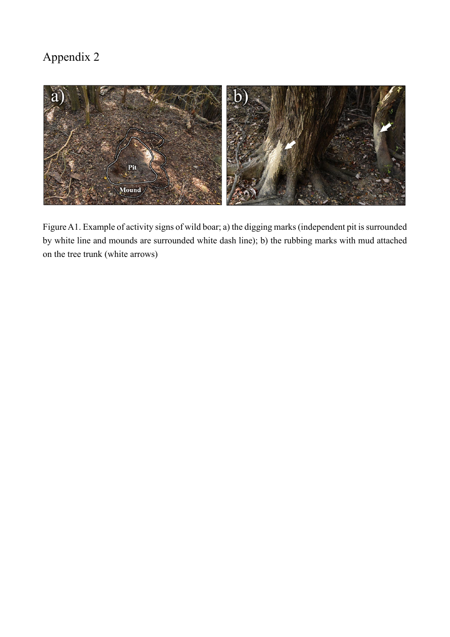

Figure A1. Example of activity signs of wild boar; a) the digging marks (independent pit is surrounded by white line and mounds are surrounded white dash line); b) the rubbing marks with mud attached on the tree trunk (white arrows)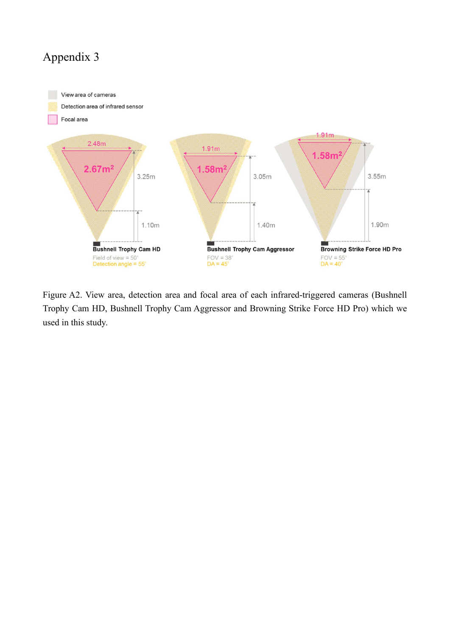

Figure A2. View area, detection area and focal area of each infrared-triggered cameras (Bushnell Trophy Cam HD, Bushnell Trophy Cam Aggressor and Browning Strike Force HD Pro) which we used in this study.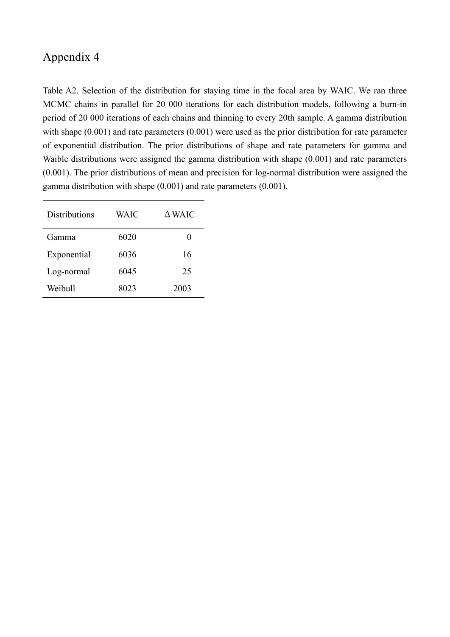Table A2. Selection of the distribution for staying time in the focal area by WAIC. We ran three MCMC chains in parallel for 20 000 iterations for each distribution models, following a burn-in period of 20 000 iterations of each chains and thinning to every 20th sample. A gamma distribution with shape  $(0.001)$  and rate parameters  $(0.001)$  were used as the prior distribution for rate parameter of exponential distribution. The prior distributions of shape and rate parameters for gamma and Waible distributions were assigned the gamma distribution with shape (0.001) and rate parameters (0.001). The prior distributions of mean and precision for log-normal distribution were assigned the gamma distribution with shape (0.001) and rate parameters (0.001).

| <b>Distributions</b> | <b>WAIC</b> | $\Delta$ WAIC |
|----------------------|-------------|---------------|
| Gamma                | 6020        | 0             |
| Exponential          | 6036        | 16            |
| Log-normal           | 6045        | 25            |
| Weibull              | 8023        | 2003          |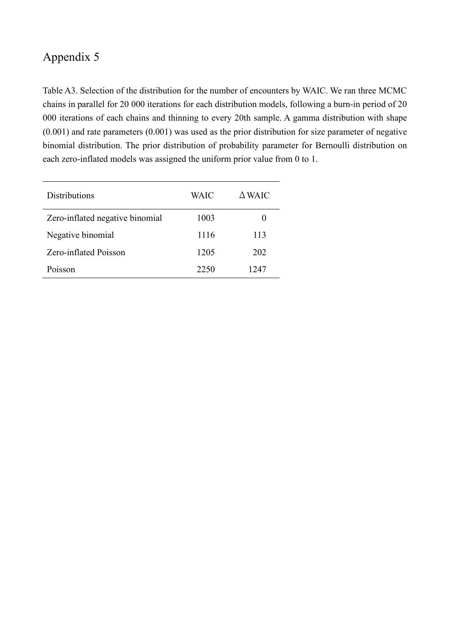Table A3. Selection of the distribution for the number of encounters by WAIC. We ran three MCMC chains in parallel for 20 000 iterations for each distribution models, following a burn-in period of 20 000 iterations of each chains and thinning to every 20th sample. A gamma distribution with shape (0.001) and rate parameters (0.001) was used as the prior distribution for size parameter of negative binomial distribution. The prior distribution of probability parameter for Bernoulli distribution on each zero-inflated models was assigned the uniform prior value from 0 to 1.

| <b>Distributions</b>            | <b>WAIC</b> | $\triangle$ WAIC |
|---------------------------------|-------------|------------------|
| Zero-inflated negative binomial | 1003        | $\theta$         |
| Negative binomial               | 1116        | 113              |
| Zero-inflated Poisson           | 1205        | 202              |
| Poisson                         | 2250        | 1247             |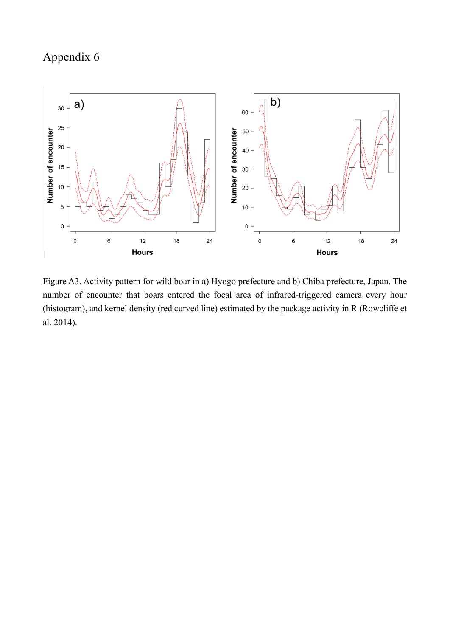

Figure A3. Activity pattern for wild boar in a) Hyogo prefecture and b) Chiba prefecture, Japan. The number of encounter that boars entered the focal area of infrared-triggered camera every hour (histogram), and kernel density (red curved line) estimated by the package activity in R (Rowcliffe et al. 2014).